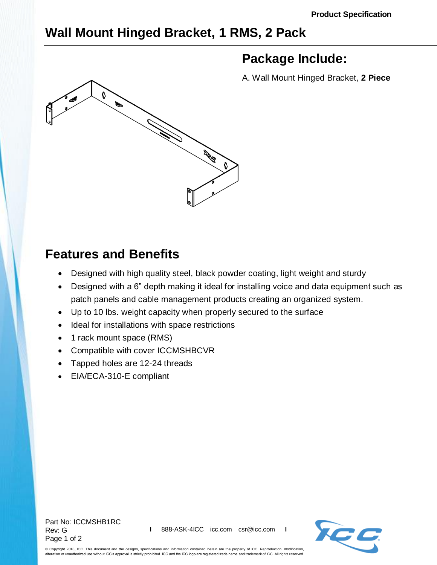## **Wall Mount Hinged Bracket, 1 RMS, 2 Pack**



## **Package Include:**

A. Wall Mount Hinged Bracket, **2 Piece**

## **Features and Benefits**

- Designed with high quality steel, black powder coating, light weight and sturdy
- Designed with a 6" depth making it ideal for installing voice and data equipment such as patch panels and cable management products creating an organized system.
- Up to 10 lbs. weight capacity when properly secured to the surface
- Ideal for installations with space restrictions
- 1 rack mount space (RMS)
- Compatible with cover [ICCMSHBCVR](http://www.icc.com/p/444/wall-mount-bracket-hinged-cover)
- Tapped holes are 12-24 threads
- EIA/ECA-310-E compliant

Part No: ICCMSHB1RC Rev: G Page 1 of 2



© Copyright 2018, ICC. This document and the designs, specifications and information contained herein are the property of ICC. Reproduction, modification, alteration or unauthorized use without ICC's approval is strictly prohibited. ICC and the ICC logo are registered trade name and trademark of ICC. All rights reserved.